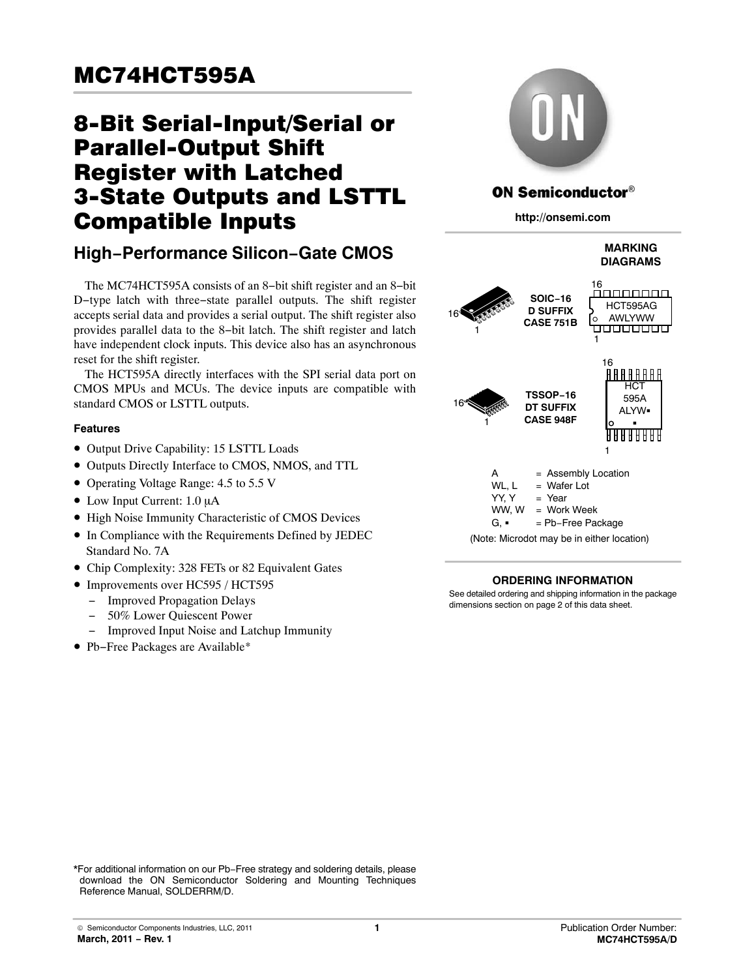# 8-Bit Serial-Input/Serial or Parallel-Output Shift Register with Latched 3-State Outputs and LSTTL Compatible Inputs

## **High−Performance Silicon−Gate CMOS**

The MC74HCT595A consists of an 8−bit shift register and an 8−bit D−type latch with three−state parallel outputs. The shift register accepts serial data and provides a serial output. The shift register also provides parallel data to the 8−bit latch. The shift register and latch have independent clock inputs. This device also has an asynchronous reset for the shift register.

The HCT595A directly interfaces with the SPI serial data port on CMOS MPUs and MCUs. The device inputs are compatible with standard CMOS or LSTTL outputs.

#### **Features**

- Output Drive Capability: 15 LSTTL Loads
- Outputs Directly Interface to CMOS, NMOS, and TTL
- Operating Voltage Range: 4.5 to 5.5 V
- $\bullet$  Low Input Current: 1.0  $\mu$ A
- High Noise Immunity Characteristic of CMOS Devices
- In Compliance with the Requirements Defined by JEDEC Standard No. 7A
- Chip Complexity: 328 FETs or 82 Equivalent Gates
- Improvements over HC595 / HCT595
	- − Improved Propagation Delays
	- − 50% Lower Quiescent Power
	- − Improved Input Noise and Latchup Immunity
- Pb−Free Packages are Available\*



#### **ORDERING INFORMATION**

See detailed ordering and shipping information in the package dimensions section on page [2](#page-1-0) of this data sheet.

\*For additional information on our Pb−Free strategy and soldering details, please download the ON Semiconductor Soldering and Mounting Techniques Reference Manual, SOLDERRM/D.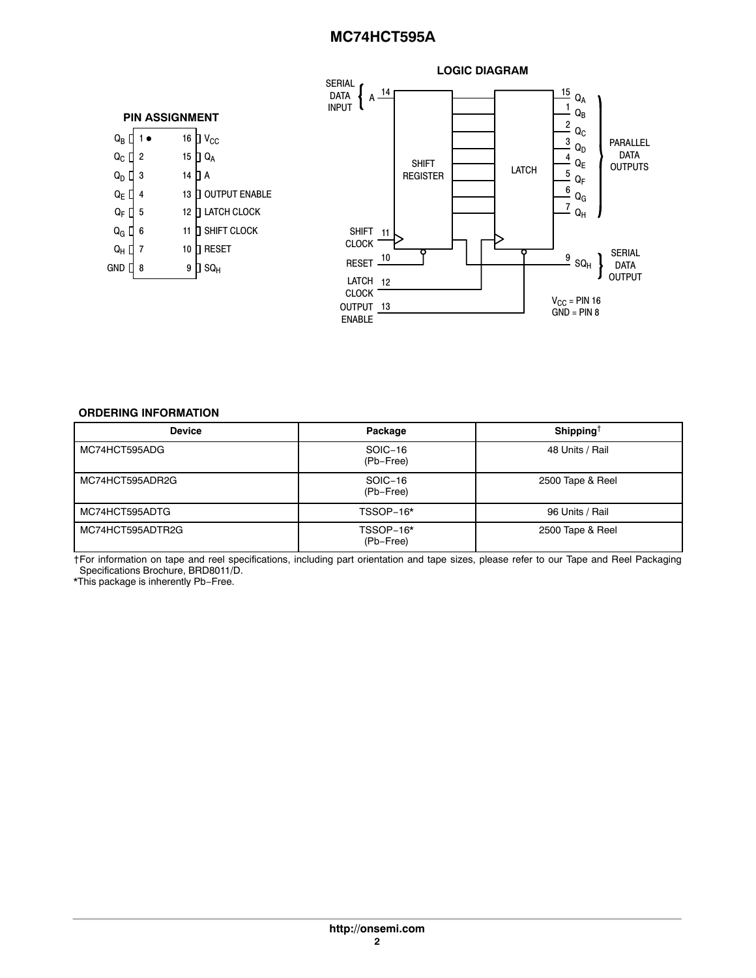<span id="page-1-0"></span>

#### **ORDERING INFORMATION**

| <b>Device</b>    | Package                | Shipping <sup>†</sup> |
|------------------|------------------------|-----------------------|
| MC74HCT595ADG    | SOIC-16<br>(Pb-Free)   | 48 Units / Rail       |
| MC74HCT595ADR2G  | SOIC-16<br>(Pb-Free)   | 2500 Tape & Reel      |
| MC74HCT595ADTG   | <b>TSSOP-16*</b>       | 96 Units / Rail       |
| MC74HCT595ADTR2G | TSSOP-16*<br>(Pb-Free) | 2500 Tape & Reel      |

†For information on tape and reel specifications, including part orientation and tape sizes, please refer to our Tape and Reel Packaging Specifications Brochure, BRD8011/D.

\*This package is inherently Pb−Free.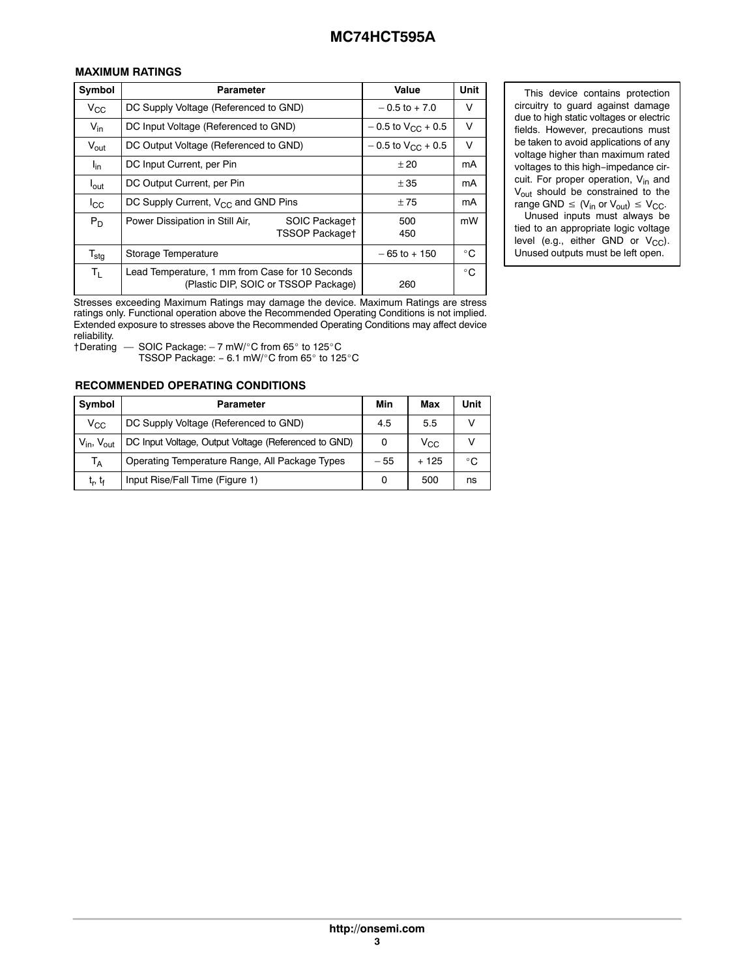| Symbol                  | <b>Parameter</b>                                                                        |               | Value                    | Unit         |
|-------------------------|-----------------------------------------------------------------------------------------|---------------|--------------------------|--------------|
| $V_{\rm CC}$            | DC Supply Voltage (Referenced to GND)                                                   |               | $-0.5$ to $+7.0$         | V            |
| $V_{in}$                | DC Input Voltage (Referenced to GND)                                                    |               | $-0.5$ to $V_{CC}$ + 0.5 | V            |
| $V_{\text{out}}$        | DC Output Voltage (Referenced to GND)                                                   |               | $-0.5$ to $V_{CC}$ + 0.5 | V            |
| $I_{\text{in}}$         | DC Input Current, per Pin                                                               |               | ± 20                     | mA           |
| <b>l</b> <sub>out</sub> | DC Output Current, per Pin                                                              |               | ± 35                     | mA           |
| $_{\rm lcc}$            | DC Supply Current, $V_{CC}$ and GND Pins                                                |               | ±75                      | mA           |
| $P_D$                   | Power Dissipation in Still Air,<br>TSSOP Package†                                       | SOIC Packaget | 500<br>450               | mW           |
| $T_{\text{stg}}$        | Storage Temperature                                                                     |               | $-65$ to $+150$          | $^{\circ}$ C |
| $T_{L}$                 | Lead Temperature, 1 mm from Case for 10 Seconds<br>(Plastic DIP, SOIC or TSSOP Package) |               | 260                      | $^{\circ}$ C |

Stresses exceeding Maximum Ratings may damage the device. Maximum Ratings are stress ratings only. Functional operation above the Recommended Operating Conditions is not implied. Extended exposure to stresses above the Recommended Operating Conditions may affect device reliability.

 $\uparrow$  Derating  $-$  SOIC Package: - 7 mW/°C from 65° to 125°C TSSOP Package: – 6.1 mW/°C from 65° to 125°C

#### **RECOMMENDED OPERATING CONDITIONS**

| Symbol                             | <b>Parameter</b>                                     | Min   | Max    | Unit         |
|------------------------------------|------------------------------------------------------|-------|--------|--------------|
| Vcc                                | DC Supply Voltage (Referenced to GND)                | 4.5   | 5.5    | v            |
| $V_{\text{in}}$ , $V_{\text{out}}$ | DC Input Voltage, Output Voltage (Referenced to GND) | 0     | Vcc    |              |
| T <sub>A</sub>                     | Operating Temperature Range, All Package Types       | $-55$ | $+125$ | $^{\circ}$ C |
| t <sub>r</sub> , t <sub>f</sub>    | Input Rise/Fall Time (Figure 1)                      |       | 500    | ns           |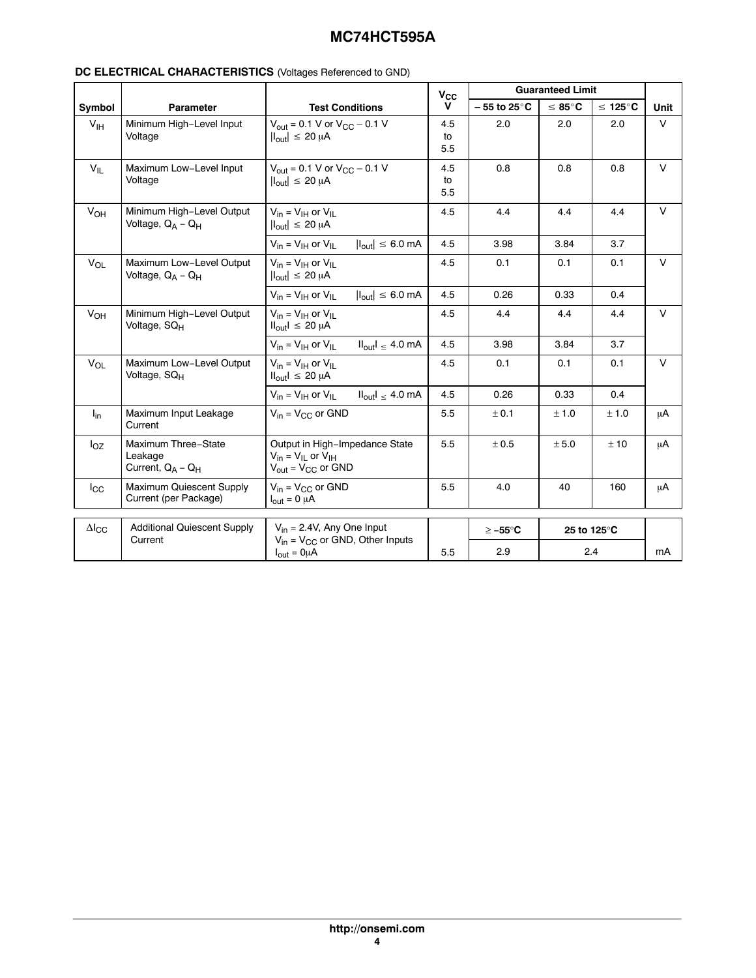|                     |                                                        |                                                                                                            | $V_{\rm CC}$     |                          | <b>Guaranteed Limit</b> |                      |        |
|---------------------|--------------------------------------------------------|------------------------------------------------------------------------------------------------------------|------------------|--------------------------|-------------------------|----------------------|--------|
| Symbol              | <b>Parameter</b>                                       | <b>Test Conditions</b>                                                                                     | v                | $-55$ to 25 $^{\circ}$ C | $\leq 85^{\circ}$ C     | $\leq 125^{\circ}$ C | Unit   |
| V <sub>IH</sub>     | Minimum High-Level Input<br>Voltage                    | $V_{\text{out}} = 0.1 V$ or $V_{\text{CC}} - 0.1 V$<br>$ I_{\text{out}}  \leq 20 \mu A$                    | 4.5<br>to<br>5.5 | 2.0                      | 2.0                     | 2.0                  | $\vee$ |
| $V_{II}$            | Maximum Low-Level Input<br>Voltage                     | $V_{\text{out}} = 0.1 V$ or $V_{\text{CC}} - 0.1 V$<br>$ I_{\text{out}}  \leq 20 \mu A$                    | 4.5<br>to<br>5.5 | 0.8                      | 0.8                     | 0.8                  | $\vee$ |
| $V_{OH}$            | Minimum High-Level Output<br>Voltage, $Q_A - Q_H$      | $V_{in} = V_{IH}$ or $V_{II}$<br>$ I_{\text{out}}  \leq 20 \mu A$                                          | 4.5              | 4.4                      | 4.4                     | 4.4                  | $\vee$ |
|                     |                                                        | $V_{in} = V_{IH}$ or $V_{IL}$<br>$ I_{\text{out}}  \leq 6.0 \text{ mA}$                                    | 4.5              | 3.98                     | 3.84                    | 3.7                  |        |
| $V_{OL}$            | Maximum Low-Level Output<br>Voltage, $Q_A - Q_H$       | $V_{in} = V_{IH}$ or $V_{II}$<br>$ I_{\text{out}}  \leq 20 \mu A$                                          | 4.5              | 0.1                      | 0.1                     | 0.1                  | $\vee$ |
|                     |                                                        | $V_{in} = V_{IH}$ or $V_{IL}$<br>$ I_{\text{out}}  \leq 6.0 \text{ mA}$                                    | 4.5              | 0.26                     | 0.33                    | 0.4                  |        |
| $V_{OH}$            | Minimum High-Level Output<br>Voltage, SQ <sub>H</sub>  | $V_{in} = V_{IH}$ or $V_{II}$<br>$II_{\text{out}}I \leq 20 \mu A$                                          | 4.5              | 4.4                      | 4.4                     | 4.4                  | $\vee$ |
|                     |                                                        | $V_{in} = V_{IH}$ or $V_{IL}$<br>$II_{\text{out}}I_{\leq 4.0 \text{ mA}}$                                  | 4.5              | 3.98                     | 3.84                    | 3.7                  |        |
| $V_{OL}$            | Maximum Low-Level Output<br>Voltage, SQ <sub>H</sub>   | $V_{in} = V_{IH}$ or $V_{IL}$<br>$II_{\text{out}}I \leq 20 \mu A$                                          | 4.5              | 0.1                      | 0.1                     | 0.1                  | $\vee$ |
|                     |                                                        | $V_{in} = V_{IH}$ or $V_{IL}$<br>$II_{\text{out}}I_{\leq 4.0 \text{ mA}}$                                  | 4.5              | 0.26                     | 0.33                    | 0.4                  |        |
| $I_{in}$            | Maximum Input Leakage<br>Current                       | $V_{in} = V_{CC}$ or GND                                                                                   | 5.5              | ± 0.1                    | ± 1.0                   | ± 1.0                | μA     |
| $I_{OZ}$            | Maximum Three-State<br>Leakage<br>Current, $Q_A - Q_H$ | Output in High-Impedance State<br>$V_{in} = V_{IL}$ or $V_{IH}$<br>$V_{\text{out}} = V_{\text{CC}}$ or GND | 5.5              | ± 0.5                    | ± 5.0                   | ± 10                 | μA     |
| $_{\rm lcc}$        | Maximum Quiescent Supply<br>Current (per Package)      | $V_{in} = V_{CC}$ or GND<br>$I_{\text{out}} = 0 \mu A$                                                     | 5.5              | 4.0                      | 40                      | 160                  | μA     |
| $\Delta I_{\rm CC}$ | <b>Additional Quiescent Supply</b>                     | $V_{in}$ = 2.4V, Any One Input                                                                             |                  |                          |                         |                      |        |
|                     | Current                                                | $V_{in}$ = $V_{CC}$ or GND, Other Inputs                                                                   |                  | $\geq$ –55°C             |                         | 25 to 125°C          |        |
|                     |                                                        | $I_{out} = 0 \mu A$                                                                                        | 5.5              | 2.9                      |                         | 2.4                  | mA     |

### **DC ELECTRICAL CHARACTERISTICS** (Voltages Referenced to GND)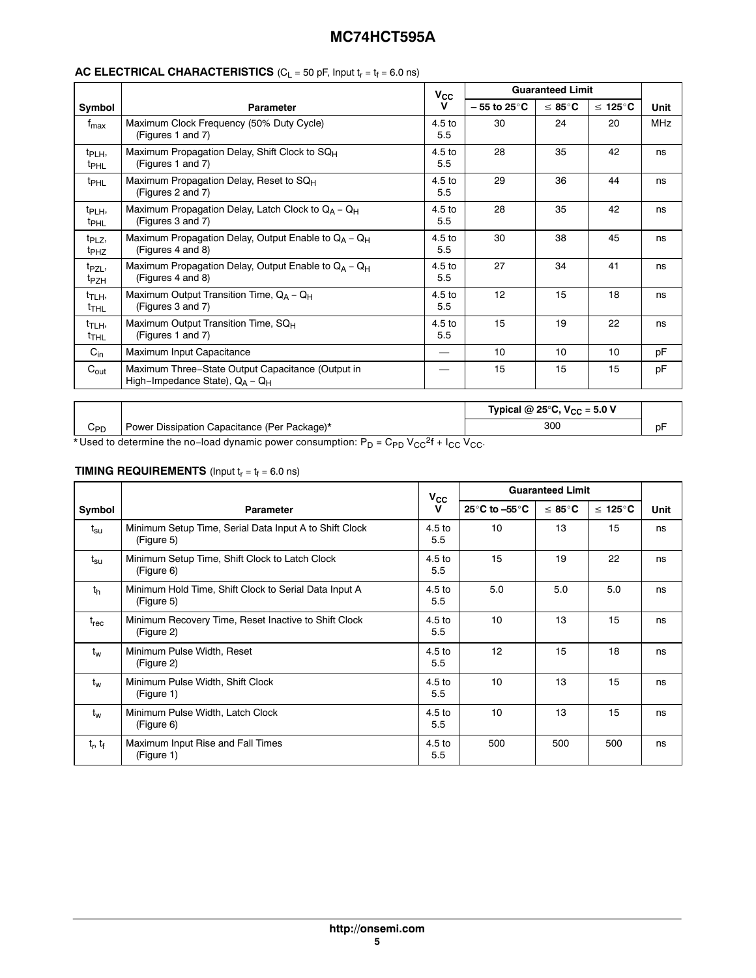|                                          | $V_{\rm CC}$                                                                            |                          | <b>Guaranteed Limit</b>  |                                                 |                      |            |
|------------------------------------------|-----------------------------------------------------------------------------------------|--------------------------|--------------------------|-------------------------------------------------|----------------------|------------|
| Symbol                                   | <b>Parameter</b>                                                                        | v                        | $-55$ to 25 $^{\circ}$ C | $\leq 85^{\circ}$ C                             | $\leq 125^{\circ}$ C | Unit       |
| $f_{\text{max}}$                         | Maximum Clock Frequency (50% Duty Cycle)<br>(Figures 1 and 7)                           | 4.5 <sub>to</sub><br>5.5 | 30                       | 24                                              | 20                   | <b>MHz</b> |
| t <sub>PLH</sub> ,<br><sup>t</sup> PHL   | Maximum Propagation Delay, Shift Clock to SQ <sub>H</sub><br>(Figures 1 and 7)          | 4.5 <sub>to</sub><br>5.5 | 28                       | 35                                              | 42                   | ns         |
| <sup>t</sup> PHL                         | Maximum Propagation Delay, Reset to SQ <sub>H</sub><br>(Figures 2 and 7)                | 4.5 to<br>5.5            | 29                       | 36                                              | 44                   | ns         |
| t <sub>PLH</sub> ,<br><sup>t</sup> PHL   | Maximum Propagation Delay, Latch Clock to $Q_A - Q_H$<br>(Figures 3 and 7)              | 4.5 to<br>5.5            | 28                       | 35                                              | 42                   | ns         |
| t <sub>PLZ</sub> ,<br>t <sub>PHZ</sub>   | Maximum Propagation Delay, Output Enable to $Q_A - Q_H$<br>(Figures 4 and 8)            | 4.5 to<br>5.5            | 30                       | 38                                              | 45                   | ns         |
| t <sub>PZL</sub> ,<br><sup>t</sup> PZH   | Maximum Propagation Delay, Output Enable to $Q_A - Q_H$<br>(Figures 4 and 8)            | 4.5 <sub>to</sub><br>5.5 | 27                       | 34                                              | 41                   | ns         |
| t <sub>TLH</sub> ,<br>$t$ <sub>THL</sub> | Maximum Output Transition Time, $Q_A - Q_H$<br>(Figures 3 and 7)                        | 4.5 <sub>to</sub><br>5.5 | 12                       | 15                                              | 18                   | ns         |
| t <sub>TLH</sub> ,<br>$t$ <sub>THL</sub> | Maximum Output Transition Time, SQ <sub>H</sub><br>(Figures 1 and 7)                    | 4.5 <sub>to</sub><br>5.5 | 15                       | 19                                              | 22                   | ns         |
| $C_{\text{in}}$                          | Maximum Input Capacitance                                                               | $\overline{\phantom{0}}$ | 10                       | 10                                              | 10                   | pF         |
| $C_{\text{out}}$                         | Maximum Three-State Output Capacitance (Output in<br>High-Impedance State), $Q_A - Q_H$ |                          | 15                       | 15                                              | 15                   | pF         |
|                                          |                                                                                         |                          |                          | Typical @ 25°C, $V_{\text{eq}} = 5.0 \text{ V}$ |                      |            |

#### **AC ELECTRICAL CHARACTERISTICS** ( $C_L$  = 50 pF, Input  $t_r$  =  $t_f$  = 6.0 ns)

C<sub>PD</sub> Power Dissipation Capacitance (Per Package)\* **Typical @ 25**°**C, VCC = 5.0 V** 300 pF

\*Used to determine the no–load dynamic power consumption:  ${\sf P}_{\sf D}$  =  ${\sf C}_{\sf PD}$  V $_{\sf CC}$ 2f + I $_{\sf CC}$  V $_{\sf CC}$ .

### **TIMING REQUIREMENTS** (Input  $t_r = t_f = 6.0$  ns)

|                 |                                                                      | $v_{\rm cc}$             |                                     | <b>Guaranteed Limit</b> |                      |      |
|-----------------|----------------------------------------------------------------------|--------------------------|-------------------------------------|-------------------------|----------------------|------|
| Symbol          | <b>Parameter</b>                                                     | $\mathbf v$              | 25 $^{\circ}$ C to -55 $^{\circ}$ C | $\leq 85^{\circ}$ C     | $\leq 125^{\circ}$ C | Unit |
| t <sub>su</sub> | Minimum Setup Time, Serial Data Input A to Shift Clock<br>(Figure 5) | 4.5 <sub>to</sub><br>5.5 | 10                                  | 13                      | 15                   | ns   |
| t <sub>su</sub> | Minimum Setup Time, Shift Clock to Latch Clock<br>(Figure 6)         | 4.5 <sub>to</sub><br>5.5 | 15                                  | 19                      | 22                   | ns   |
| $t_{h}$         | Minimum Hold Time, Shift Clock to Serial Data Input A<br>(Figure 5)  | 4.5 <sub>to</sub><br>5.5 | 5.0                                 | 5.0                     | 5.0                  | ns   |
| $t_{rec}$       | Minimum Recovery Time, Reset Inactive to Shift Clock<br>(Figure 2)   | 4.5 <sub>to</sub><br>5.5 | 10                                  | 13                      | 15                   | ns   |
| t <sub>w</sub>  | Minimum Pulse Width, Reset<br>(Figure 2)                             | 4.5 <sub>to</sub><br>5.5 | 12                                  | 15                      | 18                   | ns   |
| t <sub>w</sub>  | Minimum Pulse Width, Shift Clock<br>(Figure 1)                       | 4.5 <sub>to</sub><br>5.5 | 10                                  | 13                      | 15                   | ns   |
| t <sub>w</sub>  | Minimum Pulse Width, Latch Clock<br>(Figure 6)                       | 4.5 <sub>to</sub><br>5.5 | 10                                  | 13                      | 15                   | ns   |
| $t_r, t_f$      | Maximum Input Rise and Fall Times<br>(Figure 1)                      | 4.5 <sub>to</sub><br>5.5 | 500                                 | 500                     | 500                  | ns   |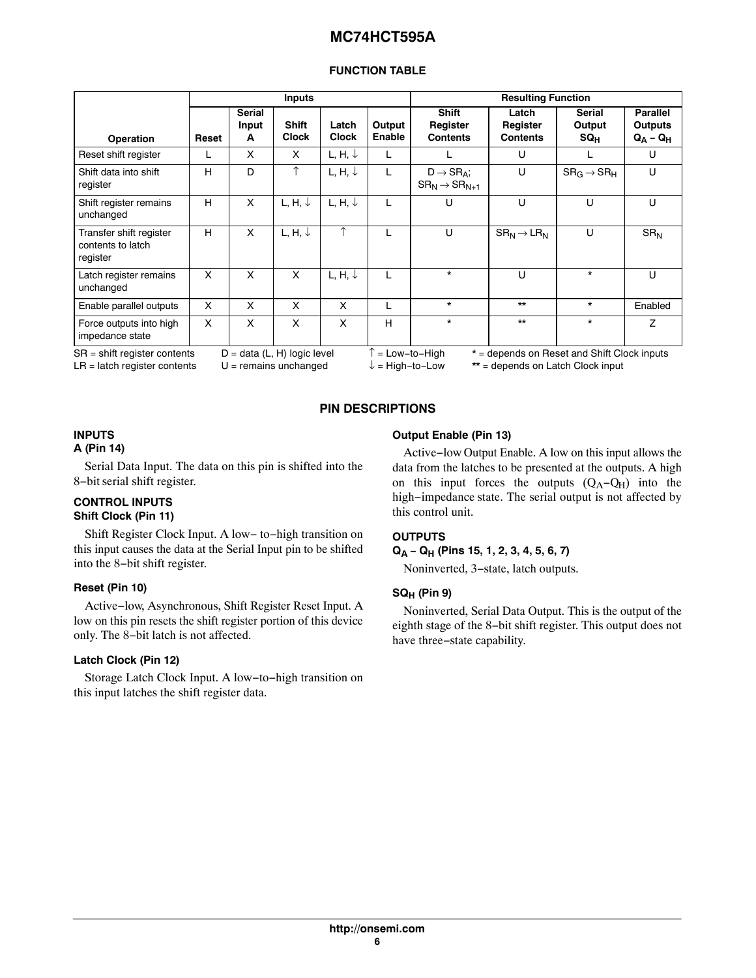| <b>FUNCTION TABLE</b> |  |
|-----------------------|--|
|-----------------------|--|

|                                                          |          |                             | Inputs                        |                       |                         | <b>Resulting Function</b>                                          |                                       |                                             |                                                  |  |
|----------------------------------------------------------|----------|-----------------------------|-------------------------------|-----------------------|-------------------------|--------------------------------------------------------------------|---------------------------------------|---------------------------------------------|--------------------------------------------------|--|
| Operation                                                | Reset    | <b>Serial</b><br>Input<br>A | <b>Shift</b><br><b>Clock</b>  | Latch<br><b>Clock</b> | Output<br><b>Enable</b> | Shift<br>Register<br><b>Contents</b>                               | Latch<br>Register<br><b>Contents</b>  | Serial<br>Output<br>$SG_{H}$                | <b>Parallel</b><br><b>Outputs</b><br>$Q_A - Q_H$ |  |
| Reset shift register                                     | L        | X                           | X                             | L, H, $\downarrow$    |                         |                                                                    | U                                     |                                             | U                                                |  |
| Shift data into shift<br>register                        | H        | D                           | ↑                             | L, H, $\downarrow$    | L                       | $D \rightarrow SR_A;$<br>$\text{SR}_N \rightarrow \text{SR}_{N+1}$ | U                                     | $SR_G \rightarrow SR_H$                     | U                                                |  |
| Shift register remains<br>unchanged                      | H        | X                           | L, H, $\downarrow$            | L, H, $\downarrow$    | L                       | U                                                                  | U                                     | U                                           | U                                                |  |
| Transfer shift register<br>contents to latch<br>register | H        | X                           | L, H, $\downarrow$            | 个                     |                         | U                                                                  | $\text{SR}_N \rightarrow \text{LR}_N$ | U                                           | SR <sub>N</sub>                                  |  |
| Latch register remains<br>unchanged                      | X        | X                           | X                             | L, H, $\downarrow$    | L                       | $\star$                                                            | U                                     | $\star$                                     | U                                                |  |
| Enable parallel outputs                                  | $\times$ | X                           | X                             | X                     | L                       | $\star$                                                            | $\star\star$                          | $\star$                                     | Enabled                                          |  |
| Force outputs into high<br>impedance state               | X        | X                           | X                             | X                     | H                       | $\star$                                                            | $\star\star$                          | $\star$                                     | Z                                                |  |
| $SR = shift$ register contents                           |          |                             | $D = data (L, H)$ logic level |                       |                         | $=$ Low-to-High                                                    |                                       | * = depends on Reset and Shift Clock inputs |                                                  |  |

LR = latch register contents U = remains unchanged ↓ = High−to−Low \*\* = depends on Latch Clock input

#### **PIN DESCRIPTIONS**

#### **INPUTS**

#### **A (Pin 14)**

Serial Data Input. The data on this pin is shifted into the 8−bit serial shift register.

### **CONTROL INPUTS**

### **Shift Clock (Pin 11)**

Shift Register Clock Input. A low− to−high transition on this input causes the data at the Serial Input pin to be shifted into the 8−bit shift register.

#### **Reset (Pin 10)**

Active−low, Asynchronous, Shift Register Reset Input. A low on this pin resets the shift register portion of this device only. The 8−bit latch is not affected.

#### **Latch Clock (Pin 12)**

Storage Latch Clock Input. A low−to−high transition on this input latches the shift register data.

#### **Output Enable (Pin 13)**

Active−low Output Enable. A low on this input allows the data from the latches to be presented at the outputs. A high on this input forces the outputs  $(Q<sub>A</sub>-Q<sub>H</sub>)$  into the high−impedance state. The serial output is not affected by this control unit.

### **OUTPUTS**

#### **QA − QH (Pins 15, 1, 2, 3, 4, 5, 6, 7)**

Noninverted, 3−state, latch outputs.

#### **SQH (Pin 9)**

Noninverted, Serial Data Output. This is the output of the eighth stage of the 8−bit shift register. This output does not have three−state capability.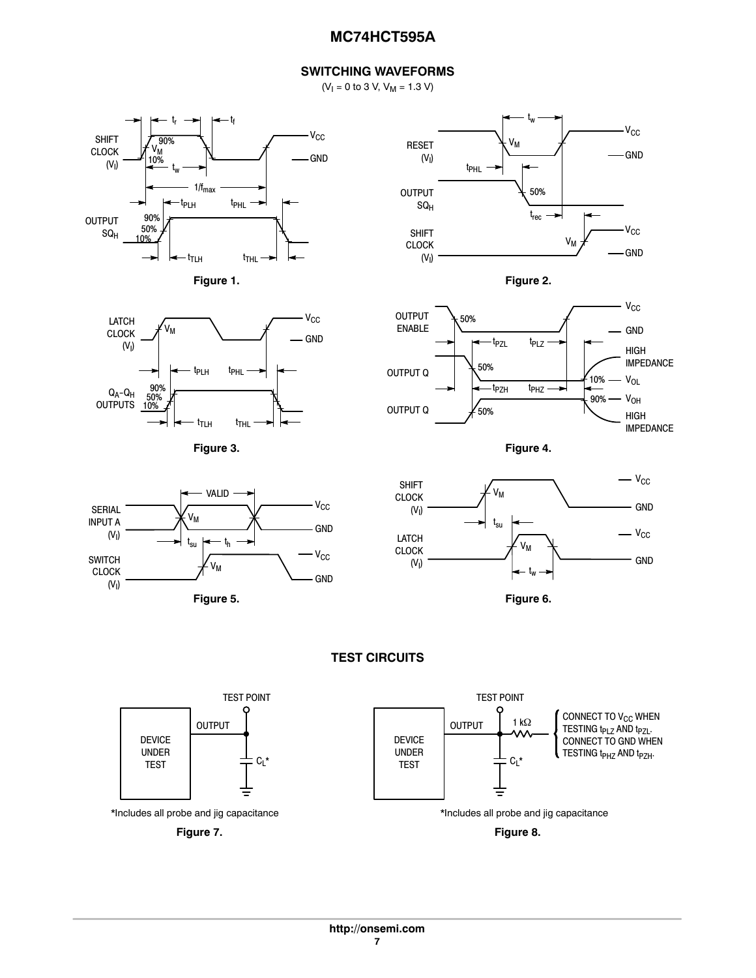#### **SWITCHING WAVEFORMS**

 $(V_1 = 0 \text{ to } 3 \text{ V}, V_M = 1.3 \text{ V})$ 





















### **TEST CIRCUITS**

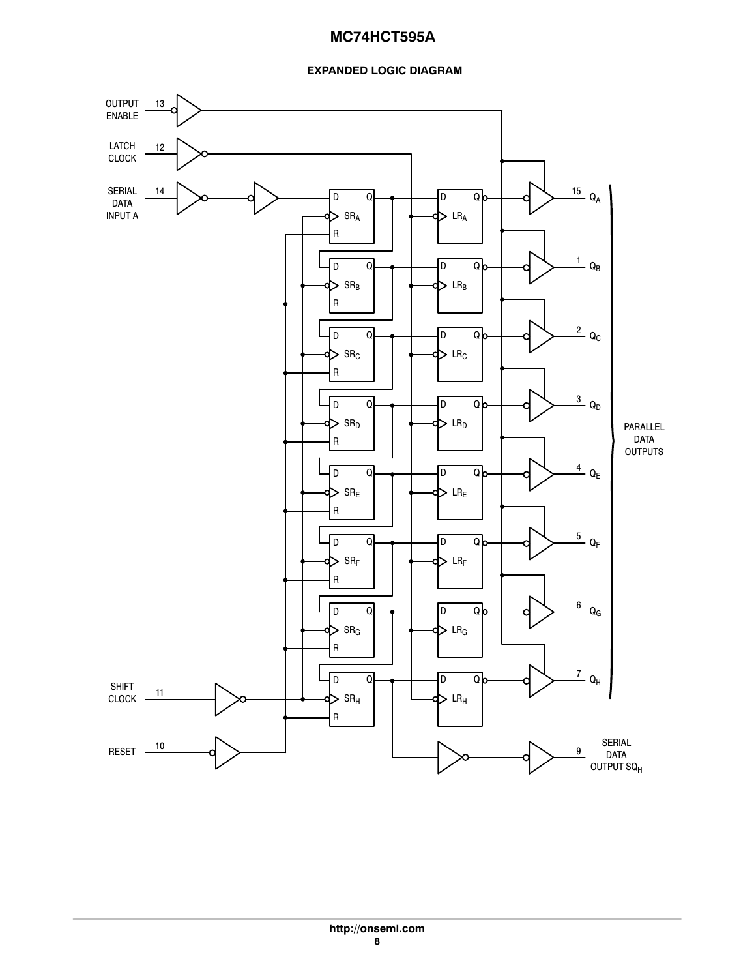#### **EXPANDED LOGIC DIAGRAM**

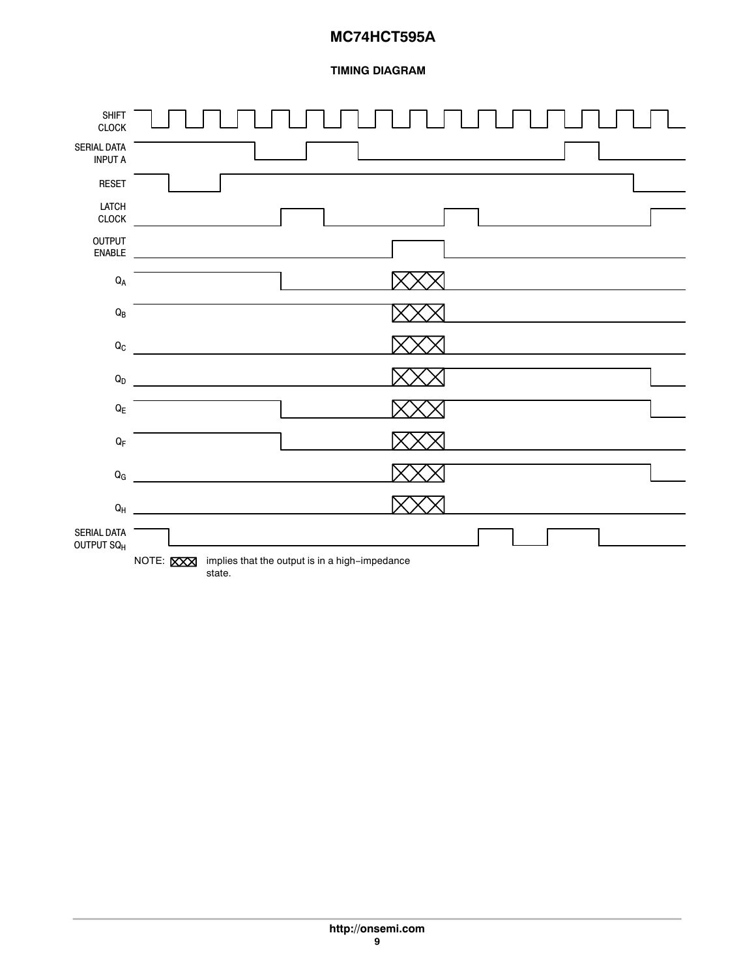#### **TIMING DIAGRAM**

| <b>SHIFT</b><br><b>CLOCK</b>          |                                                                                                                     |
|---------------------------------------|---------------------------------------------------------------------------------------------------------------------|
| <b>SERIAL DATA</b><br><b>INPUT A</b>  |                                                                                                                     |
| <b>RESET</b>                          |                                                                                                                     |
| LATCH<br>CLOCK                        |                                                                                                                     |
| <b>OUTPUT</b><br><b>ENABLE</b>        | <u> 1980 - John Harry Harry Harry Harry Harry Harry Harry Harry Harry Harry Harry Harry Harry Harry Harry Harry</u> |
| $\mathsf{Q}_\mathsf{A}$               |                                                                                                                     |
| $\mathsf{Q}_\mathsf{B}$               |                                                                                                                     |
| $\mathbf{Q}_{\mathsf C}$              |                                                                                                                     |
| $\mathsf{Q}_{\mathsf{D}}$             |                                                                                                                     |
| $\mathsf{Q}_\mathsf{E}$               |                                                                                                                     |
| $\mathsf{Q}_\mathsf{F}$               |                                                                                                                     |
| $\mathsf{Q}_{\mathsf{G}}$             |                                                                                                                     |
| $Q_H$                                 | <u> 1989 - Johann Barbara, martxa alemaniar a</u>                                                                   |
| SERIAL DATA<br>OUTPUT SQ <sub>H</sub> |                                                                                                                     |
|                                       | NOTE: XXX<br>implies that the output is in a high-impedance<br>state.                                               |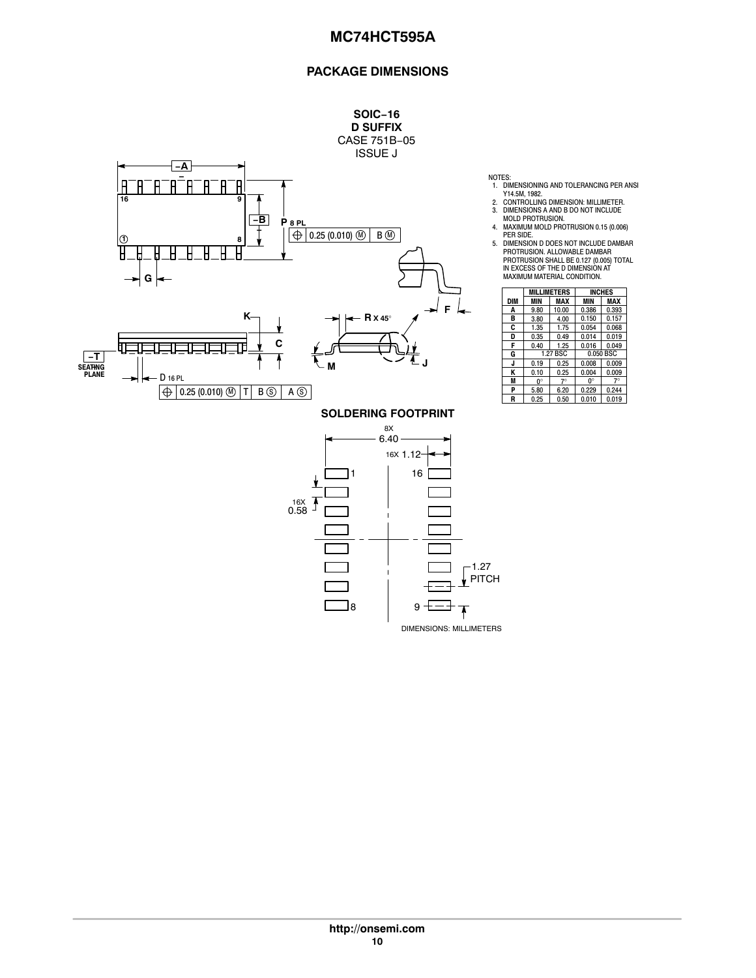#### **PACKAGE DIMENSIONS**



- 
- 
- 
- 
- 
- NOTES:<br>
1. DIMENSIONING AND TOLERANCING PER ANS<br>
2. CONTROLLING DIMENSION: MILLIMETER.<br>
3. DIMENSIONS A AND B DO NOT INCLUDE<br>
MOLD PROTRUSION.<br>
4. MAXIMUM MOLD PROTRUSION 0.15 (0.006)<br>
PER SIDE.<br>
5. DIMENSION D DOES NOT IN

|     |      | <b>MILLIMETERS</b> |            | <b>INCHES</b> |  |  |
|-----|------|--------------------|------------|---------------|--|--|
| DIM | MIN  | MAX                | <b>MIN</b> | MAX           |  |  |
| A   | 9.80 | 10.00              | 0.386      | 0.393         |  |  |
| в   | 3.80 | 4.00               | 0.150      | 0.157         |  |  |
| C   | 1.35 | 1.75               | 0.054      | 0.068         |  |  |
| D   | 0.35 | 0.49               | 0.014      | 0.019         |  |  |
| F   | 0.40 | 1.25               | 0.016      | 0.049         |  |  |
| G   |      | 1.27 BSC           |            | 0.050 BSC     |  |  |
| J   | 0.19 | 0.25               | 0.008      | 0.009         |  |  |
| K   | 0.10 | 0.25               | 0.004      | 0.009         |  |  |
| M   | 0°   | 7°                 | 0°         | 7°            |  |  |
| P   | 5.80 | 6.20               | 0.229      | 0.244         |  |  |
| R   | 0.25 | 0.50               | 0.010      | 0.019         |  |  |

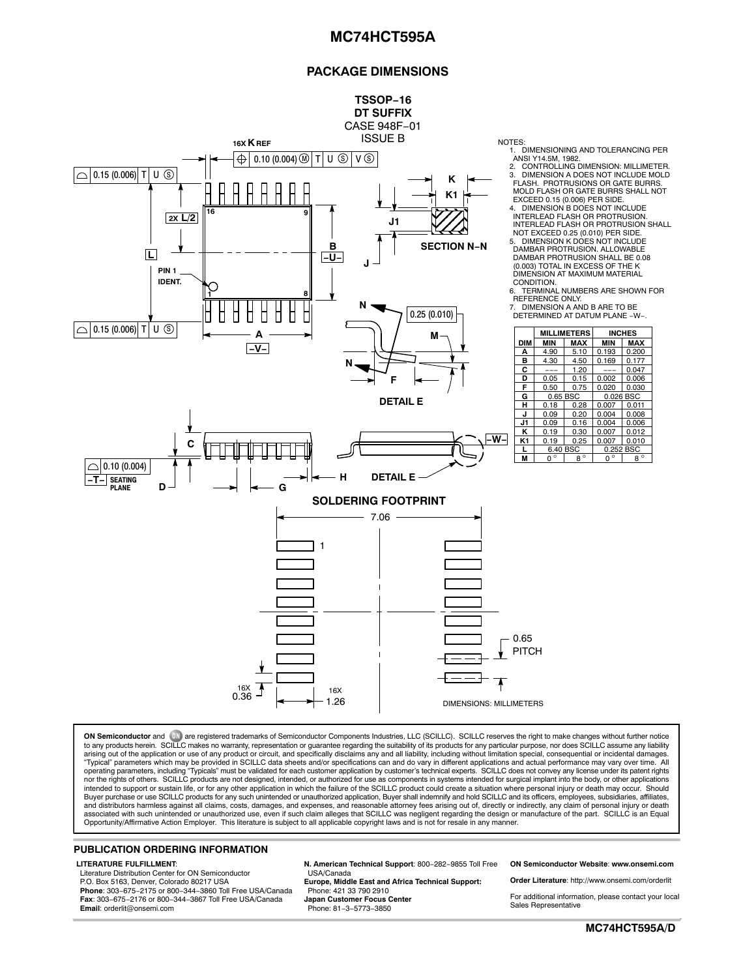#### **PACKAGE DIMENSIONS**



**ON Semiconductor** and <sup>[BK]</sup> are registered trademarks of Semiconductor Components Industries, LLC (SCILLC). SCILLC reserves the right to make changes without further notice to any products herein. SCILLC makes no warranty, representation or guarantee regarding the suitability of its products for any particular purpose, nor does SCILLC assume any liability arising out of the application or use intended to support or sustain life, or for any other application in which the failure of the SCILLC product could create a situation where personal injury or death may occur. Should<br>Buyer purchase or use SCILLC products associated with such unintended or unauthorized use, even if such claim alleges that SCILLC was negligent regarding the design or manufacture of the part. SCILLC is an Equal<br>Opportunity/Affirmative Action Employer. This

#### **PUBLICATION ORDERING INFORMATION**

#### **LITERATURE FULFILLMENT**:

Literature Distribution Center for ON Semiconductor P.O. Box 5163, Denver, Colorado 80217 USA **Phone**: 303−675−2175 or 800−344−3860 Toll Free USA/Canada **Fax**: 303−675−2176 or 800−344−3867 Toll Free USA/Canada **Email**: orderlit@onsemi.com

**N. American Technical Support**: 800−282−9855 Toll Free USA/Canada **Europe, Middle East and Africa Technical Support:**

Phone: 421 33 790 2910 **Japan Customer Focus Center** Phone: 81−3−5773−3850

**ON Semiconductor Website**: **www.onsemi.com**

**Order Literature**: http://www.onsemi.com/orderlit

For additional information, please contact your local Sales Representative